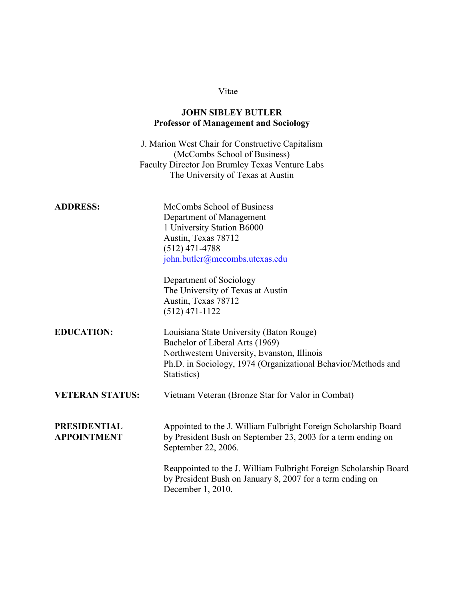# **JOHN SIBLEY BUTLER Professor of Management and Sociology**

J. Marion West Chair for Constructive Capitalism (McCombs School of Business) Faculty Director Jon Brumley Texas Venture Labs The University of Texas at Austin

| McCombs School of Business     |
|--------------------------------|
| Department of Management       |
| 1 University Station B6000     |
| Austin, Texas 78712            |
| $(512)$ 471-4788               |
| john.butler@mccombs.utexas.edu |
|                                |

Department of Sociology The University of Texas at Austin Austin, Texas 78712 (512) 471-1122

**EDUCATION:** Louisiana State University (Baton Rouge) Bachelor of Liberal Arts (1969) Northwestern University, Evanston, Illinois Ph.D. in Sociology, 1974 (Organizational Behavior/Methods and Statistics)

**VETERAN STATUS:** Vietnam Veteran (Bronze Star for Valor in Combat)

**PRESIDENTIAL A**ppointed to the J. William Fulbright Foreign Scholarship Board **APPOINTMENT** by President Bush on September 23, 2003 for a term ending on September 22, 2006.

> Reappointed to the J. William Fulbright Foreign Scholarship Board by President Bush on January 8, 2007 for a term ending on December 1, 2010.

#### Vitae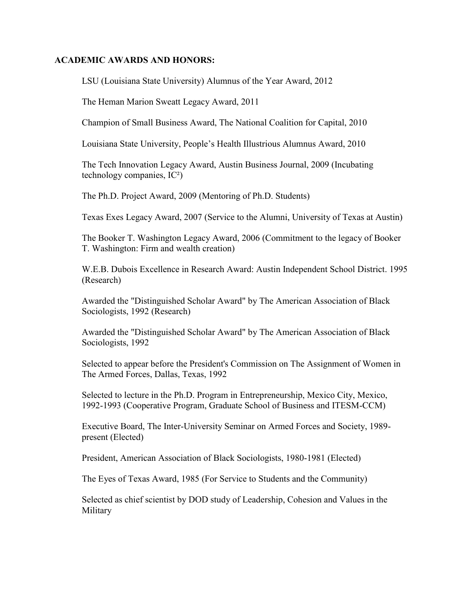## **ACADEMIC AWARDS AND HONORS:**

LSU (Louisiana State University) Alumnus of the Year Award, 2012

The Heman Marion Sweatt Legacy Award, 2011

Champion of Small Business Award, The National Coalition for Capital, 2010

Louisiana State University, People's Health Illustrious Alumnus Award, 2010

The Tech Innovation Legacy Award, Austin Business Journal, 2009 (Incubating technology companies, IC²)

The Ph.D. Project Award, 2009 (Mentoring of Ph.D. Students)

Texas Exes Legacy Award, 2007 (Service to the Alumni, University of Texas at Austin)

The Booker T. Washington Legacy Award, 2006 (Commitment to the legacy of Booker T. Washington: Firm and wealth creation)

W.E.B. Dubois Excellence in Research Award: Austin Independent School District. 1995 (Research)

Awarded the "Distinguished Scholar Award" by The American Association of Black Sociologists, 1992 (Research)

Awarded the "Distinguished Scholar Award" by The American Association of Black Sociologists, 1992

Selected to appear before the President's Commission on The Assignment of Women in The Armed Forces, Dallas, Texas, 1992

Selected to lecture in the Ph.D. Program in Entrepreneurship, Mexico City, Mexico, 1992-1993 (Cooperative Program, Graduate School of Business and ITESM-CCM)

Executive Board, The Inter-University Seminar on Armed Forces and Society, 1989 present (Elected)

President, American Association of Black Sociologists, 1980-1981 (Elected)

The Eyes of Texas Award, 1985 (For Service to Students and the Community)

Selected as chief scientist by DOD study of Leadership, Cohesion and Values in the Military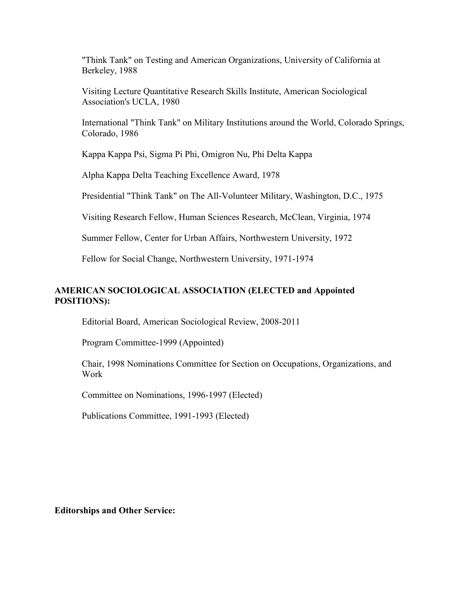"Think Tank" on Testing and American Organizations, University of California at Berkeley, 1988

Visiting Lecture Quantitative Research Skills Institute, American Sociological Association's UCLA, 1980

International "Think Tank" on Military Institutions around the World, Colorado Springs, Colorado, 1986

Kappa Kappa Psi, Sigma Pi Phi, Omigron Nu, Phi Delta Kappa

Alpha Kappa Delta Teaching Excellence Award, 1978

Presidential "Think Tank" on The All-Volunteer Military, Washington, D.C., 1975

Visiting Research Fellow, Human Sciences Research, McClean, Virginia, 1974

Summer Fellow, Center for Urban Affairs, Northwestern University, 1972

Fellow for Social Change, Northwestern University, 1971-1974

# **AMERICAN SOCIOLOGICAL ASSOCIATION (ELECTED and Appointed POSITIONS):**

Editorial Board, American Sociological Review, 2008-2011

Program Committee-1999 (Appointed)

 Chair, 1998 Nominations Committee for Section on Occupations, Organizations, and Work

Committee on Nominations, 1996-1997 (Elected)

Publications Committee, 1991-1993 (Elected)

**Editorships and Other Service:**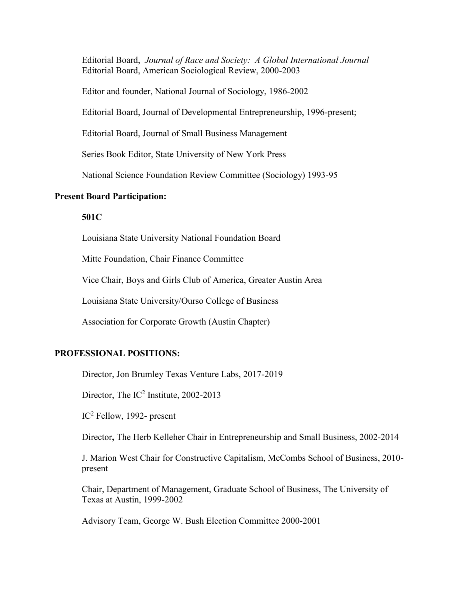Editorial Board, *Journal of Race and Society: A Global International Journal* Editorial Board, American Sociological Review, 2000-2003

Editor and founder, National Journal of Sociology, 1986-2002

Editorial Board, Journal of Developmental Entrepreneurship, 1996-present;

Editorial Board, Journal of Small Business Management

Series Book Editor, State University of New York Press

National Science Foundation Review Committee (Sociology) 1993-95

#### **Present Board Participation:**

# **501C**

Louisiana State University National Foundation Board

Mitte Foundation, Chair Finance Committee

Vice Chair, Boys and Girls Club of America, Greater Austin Area

Louisiana State University/Ourso College of Business

Association for Corporate Growth (Austin Chapter)

#### **PROFESSIONAL POSITIONS:**

Director, Jon Brumley Texas Venture Labs, 2017-2019

Director, The IC<sup>2</sup> Institute, 2002-2013

 $IC<sup>2</sup>$  Fellow, 1992- present

Director**,** The Herb Kelleher Chair in Entrepreneurship and Small Business, 2002-2014

J. Marion West Chair for Constructive Capitalism, McCombs School of Business, 2010 present

Chair, Department of Management, Graduate School of Business, The University of Texas at Austin, 1999-2002

Advisory Team, George W. Bush Election Committee 2000-2001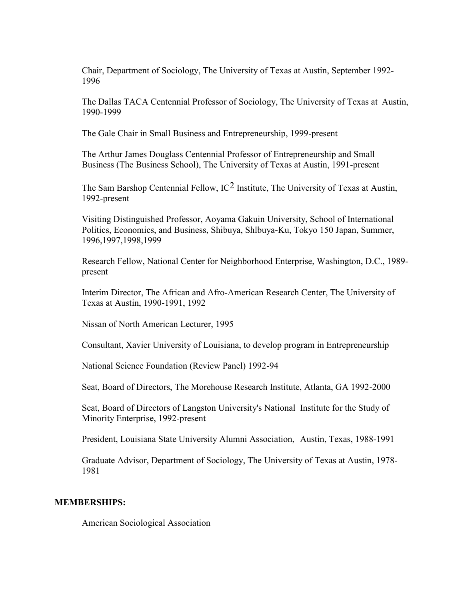Chair, Department of Sociology, The University of Texas at Austin, September 1992- 1996

The Dallas TACA Centennial Professor of Sociology, The University of Texas at Austin, 1990-1999

The Gale Chair in Small Business and Entrepreneurship, 1999-present

The Arthur James Douglass Centennial Professor of Entrepreneurship and Small Business (The Business School), The University of Texas at Austin, 1991-present

The Sam Barshop Centennial Fellow,  $IC^2$  Institute, The University of Texas at Austin, 1992-present

Visiting Distinguished Professor, Aoyama Gakuin University, School of International Politics, Economics, and Business, Shibuya, Shlbuya-Ku, Tokyo 150 Japan, Summer, 1996,1997,1998,1999

Research Fellow, National Center for Neighborhood Enterprise, Washington, D.C., 1989 present

Interim Director, The African and Afro-American Research Center, The University of Texas at Austin, 1990-1991, 1992

Nissan of North American Lecturer, 1995

Consultant, Xavier University of Louisiana, to develop program in Entrepreneurship

National Science Foundation (Review Panel) 1992-94

Seat, Board of Directors, The Morehouse Research Institute, Atlanta, GA 1992-2000

Seat, Board of Directors of Langston University's National Institute for the Study of Minority Enterprise, 1992-present

President, Louisiana State University Alumni Association, Austin, Texas, 1988-1991

Graduate Advisor, Department of Sociology, The University of Texas at Austin, 1978- 1981

#### **MEMBERSHIPS:**

American Sociological Association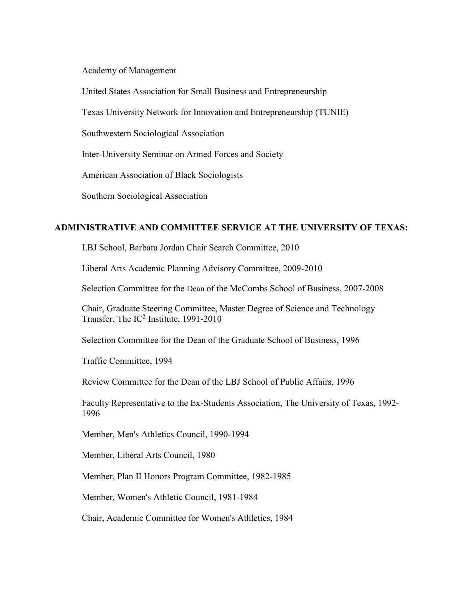Academy of Management

United States Association for Small Business and Entrepreneurship

Texas University Network for Innovation and Entrepreneurship (TUNIE)

Southwestern Sociological Association

Inter-University Seminar on Armed Forces and Society

American Association of Black Sociologists

Southern Sociological Association

# **ADMINISTRATIVE AND COMMITTEE SERVICE AT THE UNIVERSITY OF TEXAS:**

LBJ School, Barbara Jordan Chair Search Committee, 2010

Liberal Arts Academic Planning Advisory Committee, 2009-2010

Selection Committee for the Dean of the McCombs School of Business, 2007-2008

Chair, Graduate Steering Committee, Master Degree of Science and Technology Transfer, The  $IC^2$  Institute, 1991-2010

Selection Committee for the Dean of the Graduate School of Business, 1996

Traffic Committee, 1994

Review Committee for the Dean of the LBJ School of Public Affairs, 1996

Faculty Representative to the Ex-Students Association, The University of Texas, 1992- 1996

Member, Men's Athletics Council, 1990-1994

Member, Liberal Arts Council, 1980

Member, Plan II Honors Program Committee, 1982-1985

Member, Women's Athletic Council, 1981-1984

Chair, Academic Committee for Women's Athletics, 1984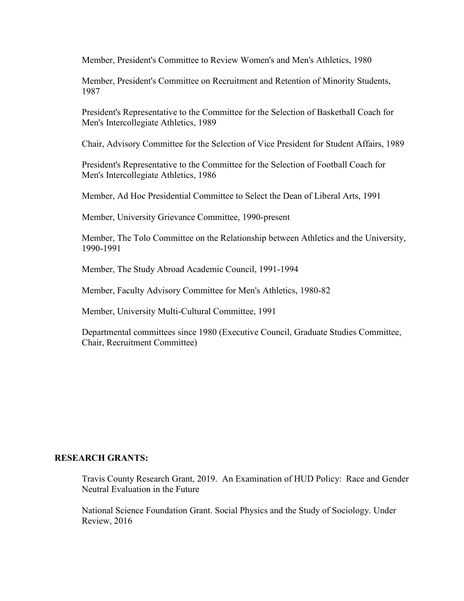Member, President's Committee to Review Women's and Men's Athletics, 1980

Member, President's Committee on Recruitment and Retention of Minority Students, 1987

President's Representative to the Committee for the Selection of Basketball Coach for Men's Intercollegiate Athletics, 1989

Chair, Advisory Committee for the Selection of Vice President for Student Affairs, 1989

President's Representative to the Committee for the Selection of Football Coach for Men's Intercollegiate Athletics, 1986

Member, Ad Hoc Presidential Committee to Select the Dean of Liberal Arts, 1991

Member, University Grievance Committee, 1990-present

Member, The Tolo Committee on the Relationship between Athletics and the University, 1990-1991

Member, The Study Abroad Academic Council, 1991-1994

Member, Faculty Advisory Committee for Men's Athletics, 1980-82

Member, University Multi-Cultural Committee, 1991

Departmental committees since 1980 (Executive Council, Graduate Studies Committee, Chair, Recruitment Committee)

#### **RESEARCH GRANTS:**

Travis County Research Grant, 2019. An Examination of HUD Policy: Race and Gender Neutral Evaluation in the Future

National Science Foundation Grant. Social Physics and the Study of Sociology. Under Review, 2016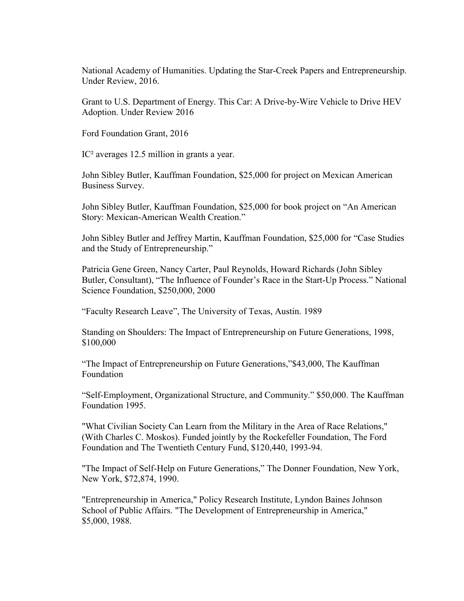National Academy of Humanities. Updating the Star-Creek Papers and Entrepreneurship. Under Review, 2016.

Grant to U.S. Department of Energy. This Car: A Drive-by-Wire Vehicle to Drive HEV Adoption. Under Review 2016

Ford Foundation Grant, 2016

IC² averages 12.5 million in grants a year.

John Sibley Butler, Kauffman Foundation, \$25,000 for project on Mexican American Business Survey.

John Sibley Butler, Kauffman Foundation, \$25,000 for book project on "An American Story: Mexican-American Wealth Creation."

John Sibley Butler and Jeffrey Martin, Kauffman Foundation, \$25,000 for "Case Studies and the Study of Entrepreneurship."

Patricia Gene Green, Nancy Carter, Paul Reynolds, Howard Richards (John Sibley Butler, Consultant), "The Influence of Founder's Race in the Start-Up Process." National Science Foundation, \$250,000, 2000

"Faculty Research Leave", The University of Texas, Austin. 1989

Standing on Shoulders: The Impact of Entrepreneurship on Future Generations, 1998, \$100,000

"The Impact of Entrepreneurship on Future Generations,"\$43,000, The Kauffman Foundation

"Self-Employment, Organizational Structure, and Community." \$50,000. The Kauffman Foundation 1995.

"What Civilian Society Can Learn from the Military in the Area of Race Relations," (With Charles C. Moskos). Funded jointly by the Rockefeller Foundation, The Ford Foundation and The Twentieth Century Fund, \$120,440, 1993-94.

"The Impact of Self-Help on Future Generations," The Donner Foundation, New York, New York, \$72,874, 1990.

"Entrepreneurship in America," Policy Research Institute, Lyndon Baines Johnson School of Public Affairs. "The Development of Entrepreneurship in America," \$5,000, 1988.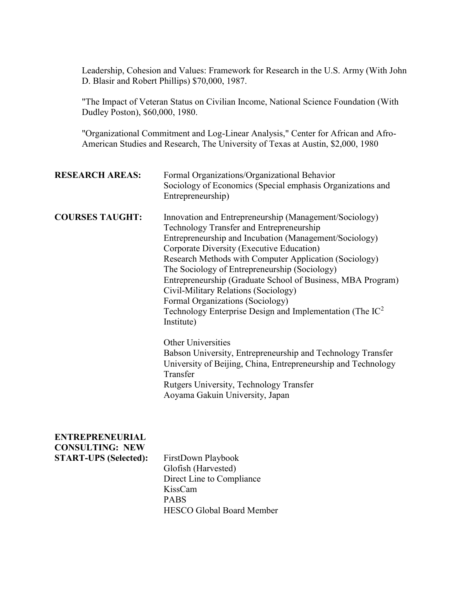Leadership, Cohesion and Values: Framework for Research in the U.S. Army (With John D. Blasir and Robert Phillips) \$70,000, 1987.

"The Impact of Veteran Status on Civilian Income, National Science Foundation (With Dudley Poston), \$60,000, 1980.

"Organizational Commitment and Log-Linear Analysis," Center for African and Afro-American Studies and Research, The University of Texas at Austin, \$2,000, 1980

| <b>RESEARCH AREAS:</b>                                                           | Formal Organizations/Organizational Behavior<br>Sociology of Economics (Special emphasis Organizations and<br>Entrepreneurship)                                                                                                                                                                                                                                                                                                                                                                                                              |
|----------------------------------------------------------------------------------|----------------------------------------------------------------------------------------------------------------------------------------------------------------------------------------------------------------------------------------------------------------------------------------------------------------------------------------------------------------------------------------------------------------------------------------------------------------------------------------------------------------------------------------------|
| <b>COURSES TAUGHT:</b>                                                           | Innovation and Entrepreneurship (Management/Sociology)<br>Technology Transfer and Entrepreneurship<br>Entrepreneurship and Incubation (Management/Sociology)<br>Corporate Diversity (Executive Education)<br>Research Methods with Computer Application (Sociology)<br>The Sociology of Entrepreneurship (Sociology)<br>Entrepreneurship (Graduate School of Business, MBA Program)<br>Civil-Military Relations (Sociology)<br>Formal Organizations (Sociology)<br>Technology Enterprise Design and Implementation (The $IC^2$<br>Institute) |
|                                                                                  | <b>Other Universities</b><br>Babson University, Entrepreneurship and Technology Transfer<br>University of Beijing, China, Entrepreneurship and Technology<br>Transfer<br>Rutgers University, Technology Transfer<br>Aoyama Gakuin University, Japan                                                                                                                                                                                                                                                                                          |
| <b>ENTREPRENEURIAL</b><br><b>CONSULTING: NEW</b><br><b>START-UPS (Selected):</b> | FirstDown Playbook<br>Glofish (Harvested)<br>Direct Line to Compliance<br>KissCam<br><b>PABS</b><br><b>HESCO Global Board Member</b>                                                                                                                                                                                                                                                                                                                                                                                                         |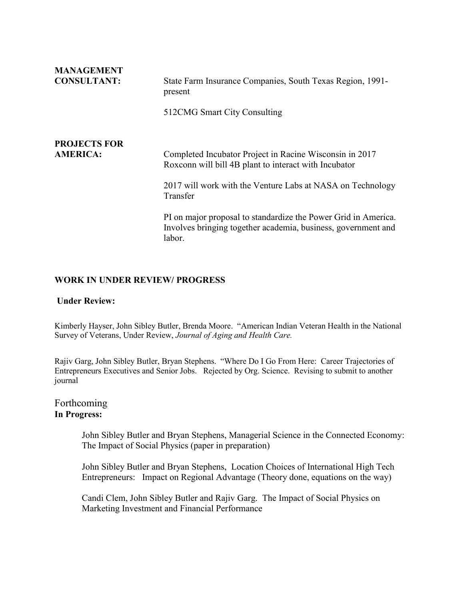| <b>MANAGEMENT</b>   |                                                                                                                                           |
|---------------------|-------------------------------------------------------------------------------------------------------------------------------------------|
| <b>CONSULTANT:</b>  | State Farm Insurance Companies, South Texas Region, 1991-<br>present                                                                      |
|                     | 512CMG Smart City Consulting                                                                                                              |
| <b>PROJECTS FOR</b> |                                                                                                                                           |
| <b>AMERICA:</b>     | Completed Incubator Project in Racine Wisconsin in 2017<br>Roxconn will bill 4B plant to interact with Incubator                          |
|                     | 2017 will work with the Venture Labs at NASA on Technology<br>Transfer                                                                    |
|                     | PI on major proposal to standardize the Power Grid in America.<br>Involves bringing together academia, business, government and<br>labor. |

# **WORK IN UNDER REVIEW/ PROGRESS**

#### **Under Review:**

Kimberly Hayser, John Sibley Butler, Brenda Moore. "American Indian Veteran Health in the National Survey of Veterans, Under Review, *Journal of Aging and Health Care.*

Rajiv Garg, John Sibley Butler, Bryan Stephens. "Where Do I Go From Here: Career Trajectories of Entrepreneurs Executives and Senior Jobs. Rejected by Org. Science. Revising to submit to another journal

# Forthcoming **In Progress:**

John Sibley Butler and Bryan Stephens, Managerial Science in the Connected Economy: The Impact of Social Physics (paper in preparation)

John Sibley Butler and Bryan Stephens, Location Choices of International High Tech Entrepreneurs: Impact on Regional Advantage (Theory done, equations on the way)

Candi Clem, John Sibley Butler and Rajiv Garg. The Impact of Social Physics on Marketing Investment and Financial Performance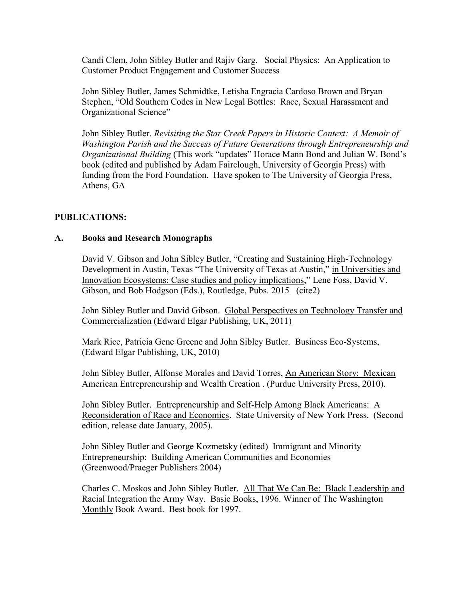Candi Clem, John Sibley Butler and Rajiv Garg. Social Physics: An Application to Customer Product Engagement and Customer Success

John Sibley Butler, James Schmidtke, Letisha Engracia Cardoso Brown and Bryan Stephen, "Old Southern Codes in New Legal Bottles: Race, Sexual Harassment and Organizational Science"

John Sibley Butler. *Revisiting the Star Creek Papers in Historic Context: A Memoir of Washington Parish and the Success of Future Generations through Entrepreneurship and Organizational Building* (This work "updates" Horace Mann Bond and Julian W. Bond's book (edited and published by Adam Fairclough, University of Georgia Press) with funding from the Ford Foundation. Have spoken to The University of Georgia Press, Athens, GA

# **PUBLICATIONS:**

### **A. Books and Research Monographs**

David V. Gibson and John Sibley Butler, "Creating and Sustaining High-Technology Development in Austin, Texas "The University of Texas at Austin," in Universities and Innovation Ecosystems: Case studies and policy implications," Lene Foss, David V. Gibson, and Bob Hodgson (Eds.), Routledge, Pubs. 2015 (cite2)

John Sibley Butler and David Gibson. Global Perspectives on Technology Transfer and Commercialization (Edward Elgar Publishing, UK, 2011)

Mark Rice, Patricia Gene Greene and John Sibley Butler. Business Eco-Systems, (Edward Elgar Publishing, UK, 2010)

John Sibley Butler, Alfonse Morales and David Torres, An American Story: Mexican American Entrepreneurship and Wealth Creation . (Purdue University Press, 2010).

John Sibley Butler. Entrepreneurship and Self-Help Among Black Americans: A Reconsideration of Race and Economics. State University of New York Press. (Second edition, release date January, 2005).

John Sibley Butler and George Kozmetsky (edited) Immigrant and Minority Entrepreneurship: Building American Communities and Economies (Greenwood/Praeger Publishers 2004)

Charles C. Moskos and John Sibley Butler. All That We Can Be: Black Leadership and Racial Integration the Army Way. Basic Books, 1996. Winner of The Washington Monthly Book Award. Best book for 1997.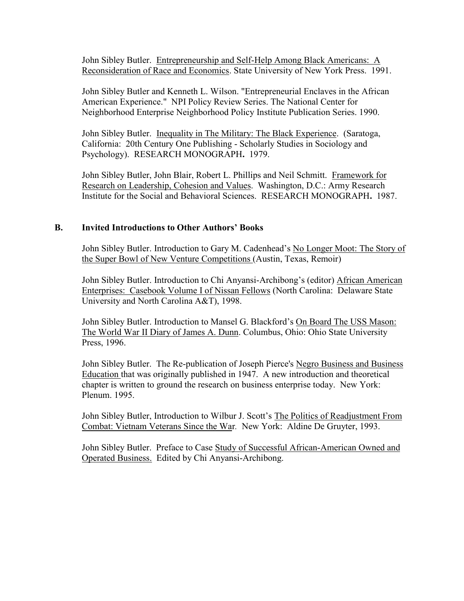John Sibley Butler. Entrepreneurship and Self-Help Among Black Americans: A Reconsideration of Race and Economics. State University of New York Press. 1991.

John Sibley Butler and Kenneth L. Wilson. "Entrepreneurial Enclaves in the African American Experience." NPI Policy Review Series. The National Center for Neighborhood Enterprise Neighborhood Policy Institute Publication Series. 1990.

John Sibley Butler. Inequality in The Military: The Black Experience. (Saratoga, California: 20th Century One Publishing - Scholarly Studies in Sociology and Psychology). RESEARCH MONOGRAPH**.** 1979.

John Sibley Butler, John Blair, Robert L. Phillips and Neil Schmitt. Framework for Research on Leadership, Cohesion and Values. Washington, D.C.: Army Research Institute for the Social and Behavioral Sciences. RESEARCH MONOGRAPH**.** 1987.

### **B.** Invited Introductions to Other Authors' Books

John Sibley Butler. Introduction to Gary M. Cadenhead's No Longer Moot: The Story of the Super Bowl of New Venture Competitions (Austin, Texas, Remoir)

John Sibley Butler. Introduction to Chi Anyansi-Archibong's (editor) African American Enterprises: Casebook Volume I of Nissan Fellows (North Carolina: Delaware State University and North Carolina A&T), 1998.

John Sibley Butler. Introduction to Mansel G. Blackford's On Board The USS Mason: The World War II Diary of James A. Dunn. Columbus, Ohio: Ohio State University Press, 1996.

John Sibley Butler. The Re-publication of Joseph Pierce's Negro Business and Business Education that was originally published in 1947. A new introduction and theoretical chapter is written to ground the research on business enterprise today. New York: Plenum. 1995.

John Sibley Butler, Introduction to Wilbur J. Scott's The Politics of Readjustment From Combat: Vietnam Veterans Since the War*.* New York: Aldine De Gruyter, 1993.

John Sibley Butler. Preface to Case Study of Successful African-American Owned and Operated Business. Edited by Chi Anyansi-Archibong.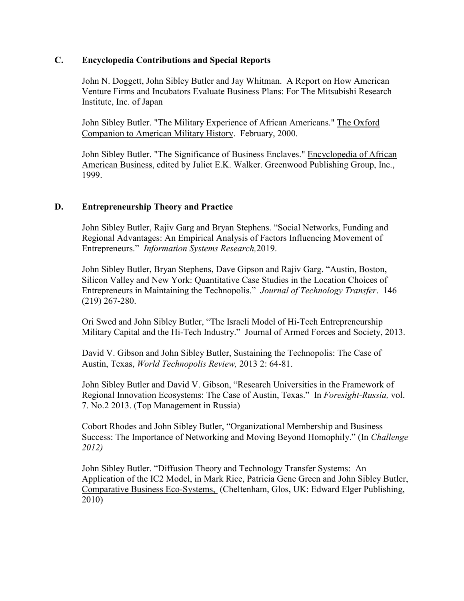# **C. Encyclopedia Contributions and Special Reports**

John N. Doggett, John Sibley Butler and Jay Whitman. A Report on How American Venture Firms and Incubators Evaluate Business Plans: For The Mitsubishi Research Institute, Inc. of Japan

John Sibley Butler. "The Military Experience of African Americans." The Oxford Companion to American Military History. February, 2000.

John Sibley Butler. "The Significance of Business Enclaves." Encyclopedia of African American Business, edited by Juliet E.K. Walker. Greenwood Publishing Group, Inc., 1999.

# **D. Entrepreneurship Theory and Practice**

John Sibley Butler, Rajiv Garg and Bryan Stephens. "Social Networks, Funding and Regional Advantages: An Empirical Analysis of Factors Influencing Movement of Entrepreneurs." *Information Systems Research*,2019.

John Sibley Butler, Bryan Stephens, Dave Gipson and Rajiv Garg. "Austin, Boston, Silicon Valley and New York: Quantitative Case Studies in the Location Choices of Entrepreneurs in Maintaining the Technopolis." *Journal of Technology Transfer*. 146 (219) 267-280.

Ori Swed and John Sibley Butler, "The Israeli Model of Hi-Tech Entrepreneurship Military Capital and the Hi-Tech Industry." Journal of Armed Forces and Society, 2013.

David V. Gibson and John Sibley Butler, Sustaining the Technopolis: The Case of Austin, Texas, *World Technopolis Review,* 2013 2: 64-81.

John Sibley Butler and David V. Gibson, "Research Universities in the Framework of Regional Innovation Ecosystems: The Case of Austin, Texas." In *Foresight-Russia*, vol. 7. No.2 2013. (Top Management in Russia)

Cobort Rhodes and John Sibley Butler, "Organizational Membership and Business Success: The Importance of Networking and Moving Beyond Homophily." (In *Challenge 2012)*

John Sibley Butler. "Diffusion Theory and Technology Transfer Systems: An Application of the IC2 Model, in Mark Rice, Patricia Gene Green and John Sibley Butler, Comparative Business Eco-Systems, (Cheltenham, Glos, UK: Edward Elger Publishing, 2010)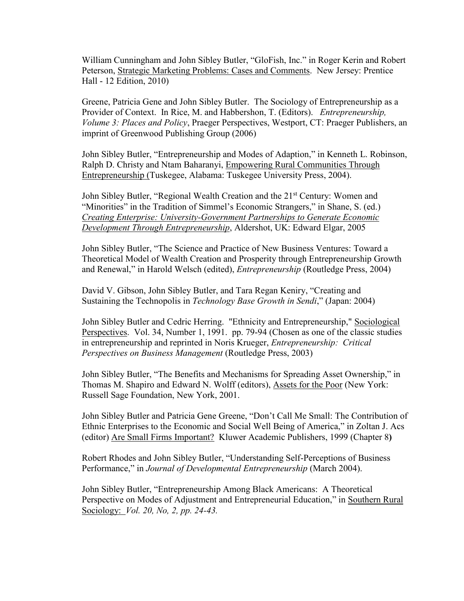William Cunningham and John Sibley Butler, "GloFish, Inc." in Roger Kerin and Robert Peterson, Strategic Marketing Problems: Cases and Comments. New Jersey: Prentice Hall - 12 Edition, 2010)

Greene, Patricia Gene and John Sibley Butler. The Sociology of Entrepreneurship as a Provider of Context. In Rice, M. and Habbershon, T. (Editors). *Entrepreneurship, Volume 3: Places and Policy*, Praeger Perspectives, Westport, CT: Praeger Publishers, an imprint of Greenwood Publishing Group (2006)

John Sibley Butler, "Entrepreneurship and Modes of Adaption," in Kenneth L. Robinson, Ralph D. Christy and Ntam Baharanyi, Empowering Rural Communities Through Entrepreneurship (Tuskegee, Alabama: Tuskegee University Press, 2004).

John Sibley Butler, "Regional Wealth Creation and the 21<sup>st</sup> Century: Women and "Minorities" in the Tradition of Simmel's Economic Strangers," in Shane, S. (ed.) *Creating Enterprise: University-Government Partnerships to Generate Economic Development Through Entrepreneurship*, Aldershot, UK: Edward Elgar, 2005

John Sibley Butler, "The Science and Practice of New Business Ventures: Toward a Theoretical Model of Wealth Creation and Prosperity through Entrepreneurship Growth and Renewal," in Harold Welsch (edited), *Entrepreneurship* (Routledge Press, 2004)

David V. Gibson, John Sibley Butler, and Tara Regan Keniry, "Creating and Sustaining the Technopolis in *Technology Base Growth in Sendi*," (Japan: 2004)

John Sibley Butler and Cedric Herring. "Ethnicity and Entrepreneurship," Sociological Perspectives. Vol. 34, Number 1, 1991. pp. 79-94 (Chosen as one of the classic studies in entrepreneurship and reprinted in Noris Krueger, *Entrepreneurship: Critical Perspectives on Business Management* (Routledge Press, 2003)

John Sibley Butler, "The Benefits and Mechanisms for Spreading Asset Ownership," in Thomas M. Shapiro and Edward N. Wolff (editors), Assets for the Poor (New York: Russell Sage Foundation, New York, 2001.

John Sibley Butler and Patricia Gene Greene, "Don't Call Me Small: The Contribution of Ethnic Enterprises to the Economic and Social Well Being of America," in Zoltan J. Acs (editor) Are Small Firms Important? Kluwer Academic Publishers, 1999 (Chapter 8**)**

Robert Rhodes and John Sibley Butler, "Understanding Self-Perceptions of Business Performance," in Journal of Developmental Entrepreneurship (March 2004).

John Sibley Butler, "Entrepreneurship Among Black Americans: A Theoretical Perspective on Modes of Adjustment and Entrepreneurial Education," in Southern Rural Sociology: *Vol. 20, No, 2, pp. 24-43.*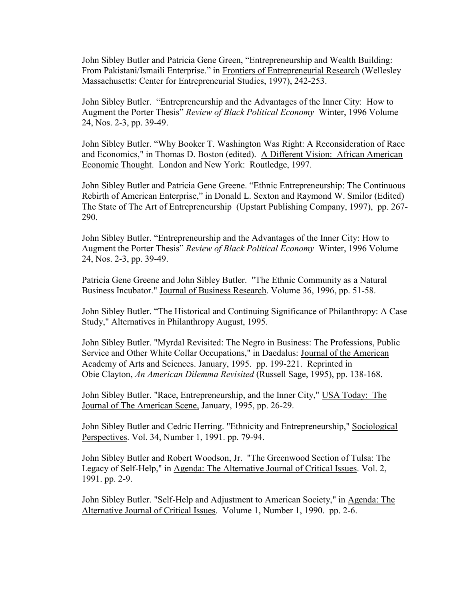John Sibley Butler and Patricia Gene Green, "Entrepreneurship and Wealth Building: From Pakistani/Ismaili Enterprise." in Frontiers of Entrepreneurial Research (Wellesley Massachusetts: Center for Entrepreneurial Studies, 1997), 242-253.

John Sibley Butler. "Entrepreneurship and the Advantages of the Inner City: How to Augment the Porter Thesis" Review of Black Political Economy Winter, 1996 Volume 24, Nos. 2-3, pp. 39-49.

John Sibley Butler. "Why Booker T. Washington Was Right: A Reconsideration of Race and Economics," in Thomas D. Boston (edited). A Different Vision: African American Economic Thought. London and New York: Routledge, 1997.

John Sibley Butler and Patricia Gene Greene. "Ethnic Entrepreneurship: The Continuous Rebirth of American Enterprise," in Donald L. Sexton and Raymond W. Smilor (Edited) The State of The Art of Entrepreneurship (Upstart Publishing Company, 1997), pp. 267- 290.

John Sibley Butler. "Entrepreneurship and the Advantages of the Inner City: How to Augment the Porter Thesis" Review of Black Political Economy Winter, 1996 Volume 24, Nos. 2-3, pp. 39-49.

Patricia Gene Greene and John Sibley Butler. "The Ethnic Community as a Natural Business Incubator." Journal of Business Research. Volume 36, 1996, pp. 51-58.

John Sibley Butler. "The Historical and Continuing Significance of Philanthropy: A Case Study," Alternatives in Philanthropy August, 1995.

John Sibley Butler. "Myrdal Revisited: The Negro in Business: The Professions, Public Service and Other White Collar Occupations," in Daedalus: Journal of the American Academy of Arts and Sciences. January, 1995. pp. 199-221. Reprinted in Obie Clayton, *An American Dilemma Revisited* (Russell Sage, 1995), pp. 138-168.

John Sibley Butler. "Race, Entrepreneurship, and the Inner City," USA Today: The Journal of The American Scene, January, 1995, pp. 26-29.

John Sibley Butler and Cedric Herring. "Ethnicity and Entrepreneurship," Sociological Perspectives. Vol. 34, Number 1, 1991. pp. 79-94.

John Sibley Butler and Robert Woodson, Jr. "The Greenwood Section of Tulsa: The Legacy of Self-Help," in Agenda: The Alternative Journal of Critical Issues. Vol. 2, 1991. pp. 2-9.

John Sibley Butler. "Self-Help and Adjustment to American Society," in Agenda: The Alternative Journal of Critical Issues. Volume 1, Number 1, 1990. pp. 2-6.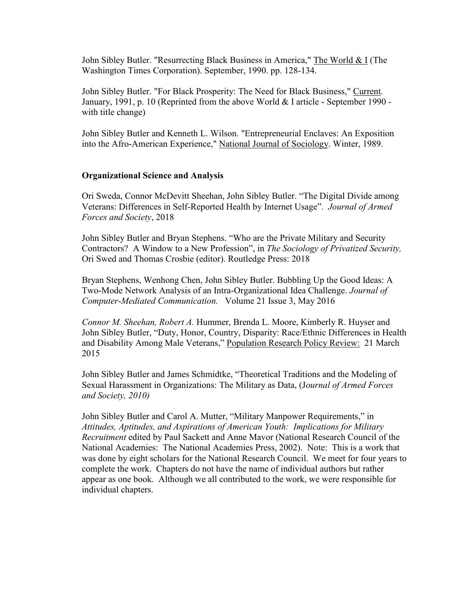John Sibley Butler. "Resurrecting Black Business in America," The World & I (The Washington Times Corporation). September, 1990. pp. 128-134.

John Sibley Butler. "For Black Prosperity: The Need for Black Business," Current. January, 1991, p. 10 (Reprinted from the above World & I article - September 1990 with title change)

John Sibley Butler and Kenneth L. Wilson. "Entrepreneurial Enclaves: An Exposition into the Afro-American Experience," National Journal of Sociology. Winter, 1989.

### **Organizational Science and Analysis**

Ori Sweda, Connor McDevitt Sheehan, John Sibley Butler. "The Digital Divide among Veterans: Differences in Self-Reported Health by Internet Usage´*Journal of Armed Forces and Society*, 2018

John Sibley Butler and Bryan Stephens. "Who are the Private Military and Security Contractors? A Window to a New Profession", in *The Sociology of Privatized Security*, Ori Swed and Thomas Crosbie (editor). Routledge Press: 2018

Bryan Stephens, Wenhong Chen, John Sibley Butler. Bubbling Up the Good Ideas: A Two-Mode Network Analysis of an Intra-Organizational Idea Challenge. *Journal of Computer-Mediated Communication.* Volume 21 Issue 3, May 2016

*Connor M. Sheehan, Robert A.* Hummer, Brenda L. Moore, Kimberly R. Huyser and John Sibley Butler, "Duty, Honor, Country, Disparity: Race/Ethnic Differences in Health and Disability Among Male Veterans," Population Research Policy Review: 21 March 2015

John Sibley Butler and James Schmidtke, "Theoretical Traditions and the Modeling of Sexual Harassment in Organizations: The Military as Data, (J*ournal of Armed Forces and Society, 2010)*

John Sibley Butler and Carol A. Mutter, "Military Manpower Requirements," in *Attitudes, Aptitudes, and Aspirations of American Youth: Implications for Military Recruitment* edited by Paul Sackett and Anne Mavor (National Research Council of the National Academies: The National Academies Press, 2002). Note: This is a work that was done by eight scholars for the National Research Council. We meet for four years to complete the work. Chapters do not have the name of individual authors but rather appear as one book. Although we all contributed to the work, we were responsible for individual chapters.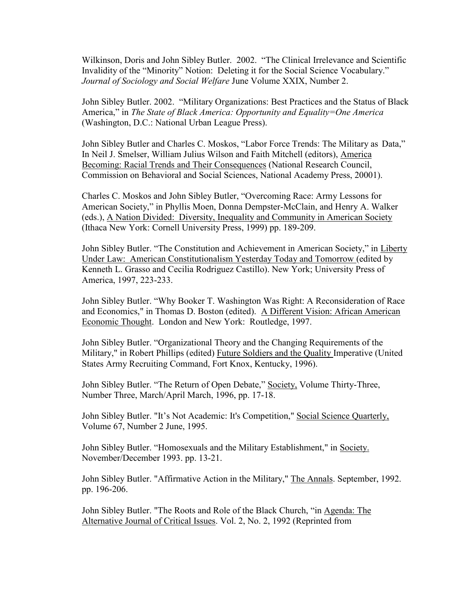Wilkinson, Doris and John Sibley Butler. 2002. "The Clinical Irrelevance and Scientific Invalidity of the "Minority" Notion: Deleting it for the Social Science Vocabulary." *Journal of Sociology and Social Welfare* June Volume XXIX, Number 2.

John Sibley Butler. 2002. "Military Organizations: Best Practices and the Status of Black America," in The State of Black America: Opportunity and Equality=One America (Washington, D.C.: National Urban League Press).

John Sibley Butler and Charles C. Moskos, "Labor Force Trends: The Military as Data," In Neil J. Smelser, William Julius Wilson and Faith Mitchell (editors), America Becoming: Racial Trends and Their Consequences (National Research Council, Commission on Behavioral and Social Sciences, National Academy Press, 20001).

Charles C. Moskos and John Sibley Butler, "Overcoming Race: Army Lessons for American Society," in Phyllis Moen, Donna Dempster-McClain, and Henry A. Walker (eds.), A Nation Divided: Diversity, Inequality and Community in American Society (Ithaca New York: Cornell University Press, 1999) pp. 189-209.

John Sibley Butler. "The Constitution and Achievement in American Society," in Liberty Under Law: American Constitutionalism Yesterday Today and Tomorrow (edited by Kenneth L. Grasso and Cecilia Rodriguez Castillo). New York; University Press of America, 1997, 223-233.

John Sibley Butler. "Why Booker T. Washington Was Right: A Reconsideration of Race and Economics," in Thomas D. Boston (edited). A Different Vision: African American Economic Thought. London and New York: Routledge, 1997.

John Sibley Butler. "Organizational Theory and the Changing Requirements of the Military," in Robert Phillips (edited) Future Soldiers and the Quality Imperative (United States Army Recruiting Command, Fort Knox, Kentucky, 1996).

John Sibley Butler. "The Return of Open Debate," Society, Volume Thirty-Three, Number Three, March/April March, 1996, pp. 17-18.

John Sibley Butler. "It's Not Academic: It's Competition," Social Science Quarterly, Volume 67, Number 2 June, 1995.

John Sibley Butler. "Homosexuals and the Military Establishment," in Society. November/December 1993. pp. 13-21.

John Sibley Butler. "Affirmative Action in the Military," The Annals. September, 1992. pp. 196-206.

John Sibley Butler. "The Roots and Role of the Black Church, "in Agenda: The Alternative Journal of Critical Issues. Vol. 2, No. 2, 1992 (Reprinted from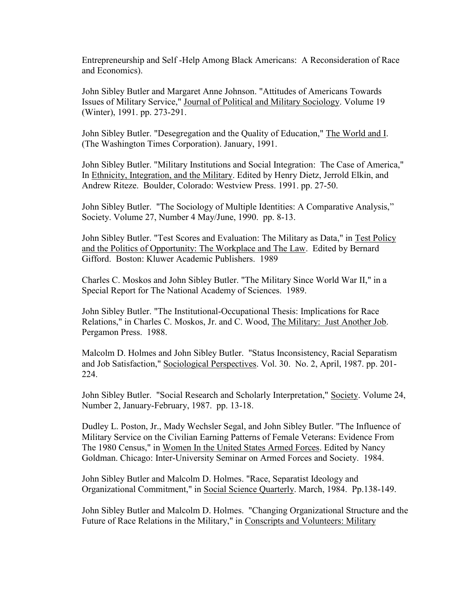Entrepreneurship and Self -Help Among Black Americans: A Reconsideration of Race and Economics).

John Sibley Butler and Margaret Anne Johnson. "Attitudes of Americans Towards Issues of Military Service," Journal of Political and Military Sociology. Volume 19 (Winter), 1991. pp. 273-291.

John Sibley Butler. "Desegregation and the Quality of Education," The World and I. (The Washington Times Corporation). January, 1991.

John Sibley Butler. "Military Institutions and Social Integration: The Case of America," In Ethnicity, Integration, and the Military. Edited by Henry Dietz, Jerrold Elkin, and Andrew Riteze. Boulder, Colorado: Westview Press. 1991. pp. 27-50.

John Sibley Butler. "The Sociology of Multiple Identities: A Comparative Analysis," Society. Volume 27, Number 4 May/June, 1990. pp. 8-13.

John Sibley Butler. "Test Scores and Evaluation: The Military as Data," in Test Policy and the Politics of Opportunity: The Workplace and The Law. Edited by Bernard Gifford. Boston: Kluwer Academic Publishers. 1989

Charles C. Moskos and John Sibley Butler. "The Military Since World War II," in a Special Report for The National Academy of Sciences. 1989.

John Sibley Butler. "The Institutional-Occupational Thesis: Implications for Race Relations," in Charles C. Moskos, Jr. and C. Wood, The Military: Just Another Job. Pergamon Press. 1988.

Malcolm D. Holmes and John Sibley Butler. "Status Inconsistency, Racial Separatism and Job Satisfaction," Sociological Perspectives. Vol. 30. No. 2, April, 1987. pp. 201- 224.

John Sibley Butler. "Social Research and Scholarly Interpretation," Society. Volume 24, Number 2, January-February, 1987. pp. 13-18.

Dudley L. Poston, Jr., Mady Wechsler Segal, and John Sibley Butler. "The Influence of Military Service on the Civilian Earning Patterns of Female Veterans: Evidence From The 1980 Census," in Women In the United States Armed Forces. Edited by Nancy Goldman. Chicago: Inter-University Seminar on Armed Forces and Society. 1984.

John Sibley Butler and Malcolm D. Holmes. "Race, Separatist Ideology and Organizational Commitment," in Social Science Quarterly. March, 1984. Pp.138-149.

John Sibley Butler and Malcolm D. Holmes. "Changing Organizational Structure and the Future of Race Relations in the Military," in Conscripts and Volunteers: Military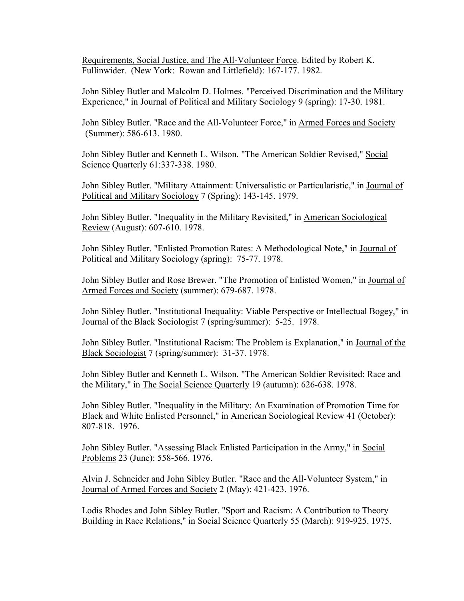Requirements, Social Justice, and The All-Volunteer Force. Edited by Robert K. Fullinwider. (New York: Rowan and Littlefield): 167-177. 1982.

John Sibley Butler and Malcolm D. Holmes. "Perceived Discrimination and the Military Experience," in Journal of Political and Military Sociology 9 (spring): 17-30. 1981.

John Sibley Butler. "Race and the All-Volunteer Force," in Armed Forces and Society (Summer): 586-613. 1980.

John Sibley Butler and Kenneth L. Wilson. "The American Soldier Revised," Social Science Quarterly 61:337-338. 1980.

John Sibley Butler. "Military Attainment: Universalistic or Particularistic," in Journal of Political and Military Sociology 7 (Spring): 143-145. 1979.

John Sibley Butler. "Inequality in the Military Revisited," in American Sociological Review (August): 607-610. 1978.

John Sibley Butler. "Enlisted Promotion Rates: A Methodological Note," in Journal of Political and Military Sociology (spring): 75-77. 1978.

John Sibley Butler and Rose Brewer. "The Promotion of Enlisted Women," in Journal of Armed Forces and Society (summer): 679-687. 1978.

John Sibley Butler. "Institutional Inequality: Viable Perspective or Intellectual Bogey," in Journal of the Black Sociologist 7 (spring/summer): 5-25. 1978.

John Sibley Butler. "Institutional Racism: The Problem is Explanation," in Journal of the Black Sociologist 7 (spring/summer): 31-37. 1978.

John Sibley Butler and Kenneth L. Wilson. "The American Soldier Revisited: Race and the Military," in The Social Science Quarterly 19 (autumn): 626-638. 1978.

John Sibley Butler. "Inequality in the Military: An Examination of Promotion Time for Black and White Enlisted Personnel," in American Sociological Review 41 (October): 807-818. 1976.

John Sibley Butler. "Assessing Black Enlisted Participation in the Army," in Social Problems 23 (June): 558-566. 1976.

Alvin J. Schneider and John Sibley Butler. "Race and the All-Volunteer System," in Journal of Armed Forces and Society 2 (May): 421-423. 1976.

Lodis Rhodes and John Sibley Butler. "Sport and Racism: A Contribution to Theory Building in Race Relations," in Social Science Quarterly 55 (March): 919-925. 1975.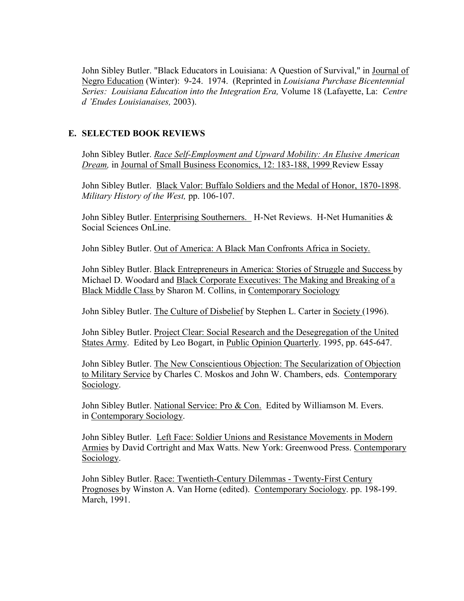John Sibley Butler. "Black Educators in Louisiana: A Question of Survival," in Journal of Negro Education (Winter): 9-24. 1974. (Reprinted in *Louisiana Purchase Bicentennial Series: Louisiana Education into the Integration Era,* Volume 18 (Lafayette, La: *Centre G¶(WXGHV Louisianaises,* 2003).

# **E. SELECTED BOOK REVIEWS**

John Sibley Butler. *Race Self-Employment and Upward Mobility: An Elusive American Dream,* in Journal of Small Business Economics, 12: 183-188, 1999 Review Essay

John Sibley Butler. Black Valor: Buffalo Soldiers and the Medal of Honor, 1870-1898. *Military History of the West,* pp. 106-107.

John Sibley Butler. Enterprising Southerners. H-Net Reviews. H-Net Humanities & Social Sciences OnLine.

John Sibley Butler. Out of America: A Black Man Confronts Africa in Society.

John Sibley Butler. Black Entrepreneurs in America: Stories of Struggle and Success by Michael D. Woodard and Black Corporate Executives: The Making and Breaking of a Black Middle Class by Sharon M. Collins, in Contemporary Sociology

John Sibley Butler. The Culture of Disbelief by Stephen L. Carter in Society (1996).

John Sibley Butler. Project Clear: Social Research and the Desegregation of the United States Army. Edited by Leo Bogart, in Public Opinion Quarterly. 1995, pp. 645-647.

John Sibley Butler. The New Conscientious Objection: The Secularization of Objection to Military Service by Charles C. Moskos and John W. Chambers, eds. Contemporary Sociology.

John Sibley Butler. National Service: Pro & Con. Edited by Williamson M. Evers. in Contemporary Sociology.

John Sibley Butler. Left Face: Soldier Unions and Resistance Movements in Modern Armies by David Cortright and Max Watts. New York: Greenwood Press. Contemporary Sociology.

John Sibley Butler. Race: Twentieth-Century Dilemmas - Twenty-First Century Prognoses by Winston A. Van Horne (edited). Contemporary Sociology. pp. 198-199. March, 1991.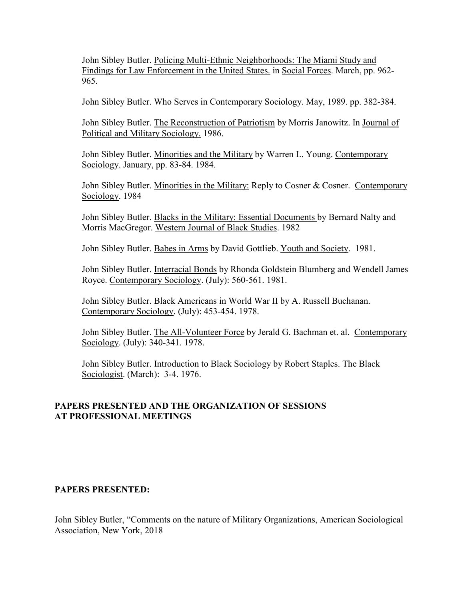John Sibley Butler. Policing Multi-Ethnic Neighborhoods: The Miami Study and Findings for Law Enforcement in the United States. in Social Forces. March, pp. 962- 965.

John Sibley Butler. Who Serves in Contemporary Sociology. May, 1989. pp. 382-384.

John Sibley Butler. The Reconstruction of Patriotism by Morris Janowitz. In Journal of Political and Military Sociology. 1986.

John Sibley Butler. Minorities and the Military by Warren L. Young. Contemporary Sociology. January, pp. 83-84. 1984.

John Sibley Butler. Minorities in the Military: Reply to Cosner & Cosner. Contemporary Sociology. 1984

John Sibley Butler. Blacks in the Military: Essential Documents by Bernard Nalty and Morris MacGregor. Western Journal of Black Studies. 1982

John Sibley Butler. Babes in Arms by David Gottlieb. Youth and Society. 1981.

John Sibley Butler. Interracial Bonds by Rhonda Goldstein Blumberg and Wendell James Royce. Contemporary Sociology. (July): 560-561. 1981.

John Sibley Butler. Black Americans in World War II by A. Russell Buchanan. Contemporary Sociology. (July): 453-454. 1978.

John Sibley Butler. The All-Volunteer Force by Jerald G. Bachman et. al. Contemporary Sociology. (July): 340-341. 1978.

John Sibley Butler. Introduction to Black Sociology by Robert Staples. The Black Sociologist. (March): 3-4. 1976.

# **PAPERS PRESENTED AND THE ORGANIZATION OF SESSIONS AT PROFESSIONAL MEETINGS**

### **PAPERS PRESENTED:**

John Sibley Butler, "Comments on the nature of Military Organizations, American Sociological Association, New York, 2018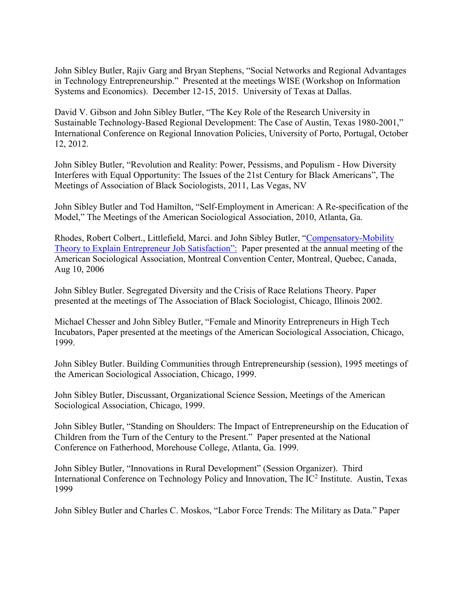John Sibley Butler, Rajiv Garg and Bryan Stephens, "Social Networks and Regional Advantages in Technology Entrepreneurship." Presented at the meetings WISE (Workshop on Information Systems and Economics). December 12-15, 2015. University of Texas at Dallas.

David V. Gibson and John Sibley Butler, "The Key Role of the Research University in Sustainable Technology-Based Regional Development: The Case of Austin, Texas 1980-2001," International Conference on Regional Innovation Policies, University of Porto, Portugal, October 12, 2012.

John Sibley Butler, "Revolution and Reality: Power, Pessisms, and Populism - How Diversity Interferes with Equal Opportunity: The Issues of the 21st Century for Black Americans", The Meetings of Association of Black Sociologists, 2011, Las Vegas, NV

John Sibley Butler and Tod Hamilton, "Self-Employment in American: A Re-specification of the Model," The Meetings of the American Sociological Association, 2010, Atlanta, Ga.

Rhodes, Robert Colbert., Littlefield, Marci. and John Sibley Butler, "Compensatory-Mobility [Theory to Explain Entrepreneur Job Satisfactio](http://www.allacademic.com/index.php?cmd=www_search&offset=0&limit=5&multi_search_search_mode=publication&multi_search_publication_fulltext_mod=fulltext&textfield_submit=true&search_module=multi_search&search=Search&search_field=title_idx&fulltext_search=Compensatory-Mobility+or+Theory+or+to+or+Explain+or+Entrepreneur+or+Job+or+Satisfaction%3A)n": Paper presented at the annual meeting of the American Sociological Association, Montreal Convention Center, Montreal, Quebec, Canada, Aug 10, 2006

John Sibley Butler. Segregated Diversity and the Crisis of Race Relations Theory. Paper presented at the meetings of The Association of Black Sociologist, Chicago, Illinois 2002.

Michael Chesser and John Sibley Butler, "Female and Minority Entrepreneurs in High Tech Incubators, Paper presented at the meetings of the American Sociological Association, Chicago, 1999.

John Sibley Butler. Building Communities through Entrepreneurship (session), 1995 meetings of the American Sociological Association, Chicago, 1999.

John Sibley Butler, Discussant, Organizational Science Session, Meetings of the American Sociological Association, Chicago, 1999.

John Sibley Butler, "Standing on Shoulders: The Impact of Entrepreneurship on the Education of Children from the Turn of the Century to the Present." Paper presented at the National Conference on Fatherhood, Morehouse College, Atlanta, Ga. 1999.

John Sibley Butler, "Innovations in Rural Development" (Session Organizer). Third International Conference on Technology Policy and Innovation, The IC<sup>2</sup> Institute. Austin, Texas 1999

John Sibley Butler and Charles C. Moskos, "Labor Force Trends: The Military as Data." Paper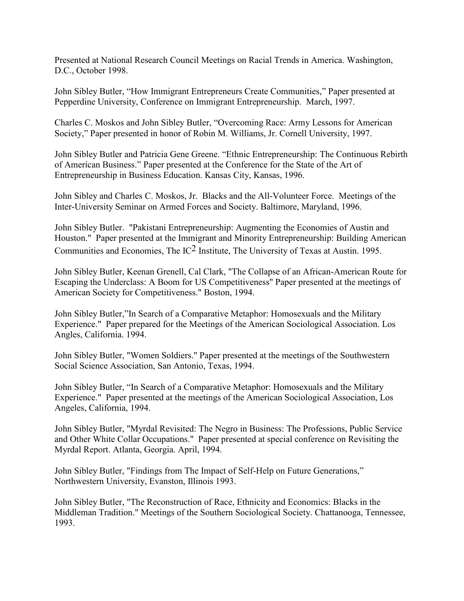Presented at National Research Council Meetings on Racial Trends in America. Washington, D.C., October 1998.

John Sibley Butler, "How Immigrant Entrepreneurs Create Communities," Paper presented at Pepperdine University, Conference on Immigrant Entrepreneurship. March, 1997.

Charles C. Moskos and John Sibley Butler, "Overcoming Race: Army Lessons for American Society," Paper presented in honor of Robin M. Williams, Jr. Cornell University, 1997.

John Sibley Butler and Patricia Gene Greene. "Ethnic Entrepreneurship: The Continuous Rebirth of American Business." Paper presented at the Conference for the State of the Art of Entrepreneurship in Business Education. Kansas City, Kansas, 1996.

John Sibley and Charles C. Moskos, Jr. Blacks and the All-Volunteer Force. Meetings of the Inter-University Seminar on Armed Forces and Society. Baltimore, Maryland, 1996.

John Sibley Butler. "Pakistani Entrepreneurship: Augmenting the Economies of Austin and Houston." Paper presented at the Immigrant and Minority Entrepreneurship: Building American Communities and Economies, The IC2 Institute, The University of Texas at Austin. 1995.

John Sibley Butler, Keenan Grenell, Cal Clark, "The Collapse of an African-American Route for Escaping the Underclass: A Boom for US Competitiveness" Paper presented at the meetings of American Society for Competitiveness." Boston, 1994.

John Sibley Butler,´In Search of a Comparative Metaphor: Homosexuals and the Military Experience." Paper prepared for the Meetings of the American Sociological Association. Los Angles, California. 1994.

John Sibley Butler, "Women Soldiers." Paper presented at the meetings of the Southwestern Social Science Association, San Antonio, Texas, 1994.

John Sibley Butler, "In Search of a Comparative Metaphor: Homosexuals and the Military Experience." Paper presented at the meetings of the American Sociological Association, Los Angeles, California, 1994.

John Sibley Butler, "Myrdal Revisited: The Negro in Business: The Professions, Public Service and Other White Collar Occupations." Paper presented at special conference on Revisiting the Myrdal Report. Atlanta, Georgia. April, 1994.

John Sibley Butler, "Findings from The Impact of Self-Help on Future Generations," Northwestern University, Evanston, Illinois 1993.

John Sibley Butler, "The Reconstruction of Race, Ethnicity and Economics: Blacks in the Middleman Tradition." Meetings of the Southern Sociological Society. Chattanooga, Tennessee, 1993.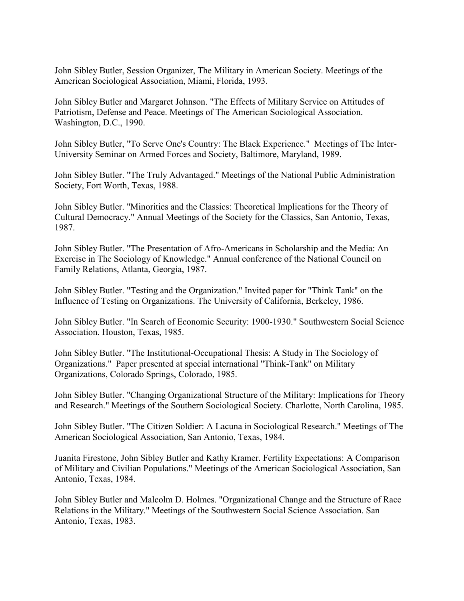John Sibley Butler, Session Organizer, The Military in American Society. Meetings of the American Sociological Association, Miami, Florida, 1993.

John Sibley Butler and Margaret Johnson. "The Effects of Military Service on Attitudes of Patriotism, Defense and Peace. Meetings of The American Sociological Association. Washington, D.C., 1990.

John Sibley Butler, "To Serve One's Country: The Black Experience." Meetings of The Inter-University Seminar on Armed Forces and Society, Baltimore, Maryland, 1989.

John Sibley Butler. "The Truly Advantaged." Meetings of the National Public Administration Society, Fort Worth, Texas, 1988.

John Sibley Butler. "Minorities and the Classics: Theoretical Implications for the Theory of Cultural Democracy." Annual Meetings of the Society for the Classics, San Antonio, Texas, 1987.

John Sibley Butler. "The Presentation of Afro-Americans in Scholarship and the Media: An Exercise in The Sociology of Knowledge." Annual conference of the National Council on Family Relations, Atlanta, Georgia, 1987.

John Sibley Butler. "Testing and the Organization." Invited paper for "Think Tank" on the Influence of Testing on Organizations. The University of California, Berkeley, 1986.

John Sibley Butler. "In Search of Economic Security: 1900-1930." Southwestern Social Science Association. Houston, Texas, 1985.

John Sibley Butler. "The Institutional-Occupational Thesis: A Study in The Sociology of Organizations." Paper presented at special international "Think-Tank" on Military Organizations, Colorado Springs, Colorado, 1985.

John Sibley Butler. "Changing Organizational Structure of the Military: Implications for Theory and Research." Meetings of the Southern Sociological Society. Charlotte, North Carolina, 1985.

John Sibley Butler. "The Citizen Soldier: A Lacuna in Sociological Research." Meetings of The American Sociological Association, San Antonio, Texas, 1984.

Juanita Firestone, John Sibley Butler and Kathy Kramer. Fertility Expectations: A Comparison of Military and Civilian Populations." Meetings of the American Sociological Association, San Antonio, Texas, 1984.

John Sibley Butler and Malcolm D. Holmes. "Organizational Change and the Structure of Race Relations in the Military." Meetings of the Southwestern Social Science Association. San Antonio, Texas, 1983.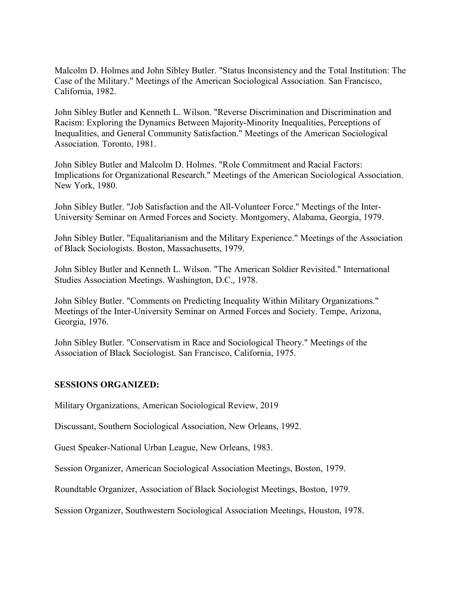Malcolm D. Holmes and John Sibley Butler. "Status Inconsistency and the Total Institution: The Case of the Military." Meetings of the American Sociological Association. San Francisco, California, 1982.

John Sibley Butler and Kenneth L. Wilson. "Reverse Discrimination and Discrimination and Racism: Exploring the Dynamics Between Majority-Minority Inequalities, Perceptions of Inequalities, and General Community Satisfaction." Meetings of the American Sociological Association. Toronto, 1981.

John Sibley Butler and Malcolm D. Holmes. "Role Commitment and Racial Factors: Implications for Organizational Research." Meetings of the American Sociological Association. New York, 1980.

John Sibley Butler. "Job Satisfaction and the All-Volunteer Force." Meetings of the Inter-University Seminar on Armed Forces and Society. Montgomery, Alabama, Georgia, 1979.

John Sibley Butler. "Equalitarianism and the Military Experience." Meetings of the Association of Black Sociologists. Boston, Massachusetts, 1979.

John Sibley Butler and Kenneth L. Wilson. "The American Soldier Revisited." International Studies Association Meetings. Washington, D.C., 1978.

John Sibley Butler. "Comments on Predicting Inequality Within Military Organizations." Meetings of the Inter-University Seminar on Armed Forces and Society. Tempe, Arizona, Georgia, 1976.

John Sibley Butler. "Conservatism in Race and Sociological Theory." Meetings of the Association of Black Sociologist. San Francisco, California, 1975.

### **SESSIONS ORGANIZED:**

Military Organizations, American Sociological Review, 2019

Discussant, Southern Sociological Association, New Orleans, 1992.

Guest Speaker-National Urban League, New Orleans, 1983.

Session Organizer, American Sociological Association Meetings, Boston, 1979.

Roundtable Organizer, Association of Black Sociologist Meetings, Boston, 1979.

Session Organizer, Southwestern Sociological Association Meetings, Houston, 1978.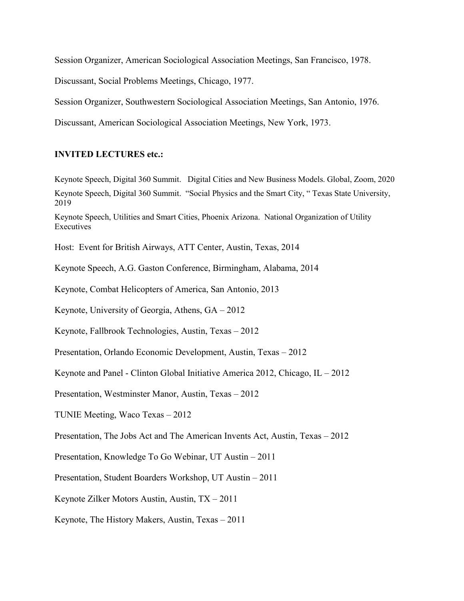Session Organizer, American Sociological Association Meetings, San Francisco, 1978.

Discussant, Social Problems Meetings, Chicago, 1977.

Session Organizer, Southwestern Sociological Association Meetings, San Antonio, 1976.

Discussant, American Sociological Association Meetings, New York, 1973.

#### **INVITED LECTURES etc.:**

Keynote Speech, Digital 360 Summit. Digital Cities and New Business Models. Global, Zoom, 2020 Keynote Speech, Digital 360 Summit. "Social Physics and the Smart City, "Texas State University, 2019

Keynote Speech, Utilities and Smart Cities, Phoenix Arizona. National Organization of Utility Executives

Host: Event for British Airways, ATT Center, Austin, Texas, 2014

Keynote Speech, A.G. Gaston Conference, Birmingham, Alabama, 2014

Keynote, Combat Helicopters of America, San Antonio, 2013

Keynote, University of Georgia, Athens,  $GA - 2012$ 

Keynote, Fallbrook Technologies, Austin, Texas  $-2012$ 

Presentation, Orlando Economic Development, Austin, Texas – 2012

Keynote and Panel - Clinton Global Initiative America 2012, Chicago, IL  $-2012$ 

Presentation, Westminster Manor, Austin, Texas - 2012

TUNIE Meeting, Waco Texas  $-2012$ 

Presentation, The Jobs Act and The American Invents Act, Austin, Texas  $-2012$ 

Presentation, Knowledge To Go Webinar, UT Austin  $-2011$ 

Presentation, Student Boarders Workshop, UT Austin – 2011

Keynote Zilker Motors Austin, Austin,  $TX - 2011$ 

Keynote, The History Makers, Austin, Texas  $-2011$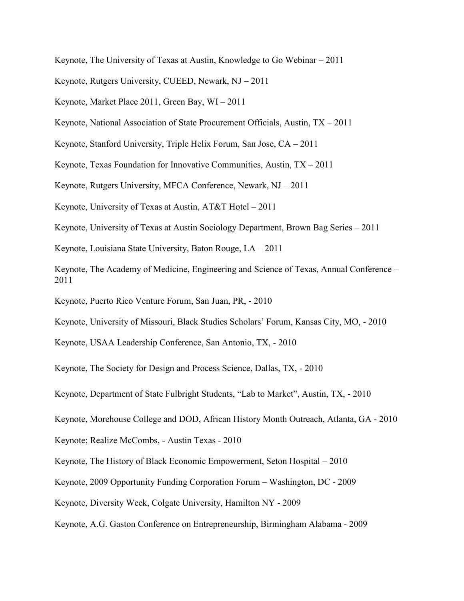Keynote, The University of Texas at Austin, Knowledge to Go Webinar  $-2011$ 

Keynote, Rutgers University, CUEED, Newark,  $NJ - 2011$ 

Keynote, Market Place 2011, Green Bay,  $WI - 2011$ 

Keynote, National Association of State Procurement Officials, Austin,  $TX - 2011$ 

Keynote, Stanford University, Triple Helix Forum, San Jose,  $CA - 2011$ 

Keynote, Texas Foundation for Innovative Communities, Austin,  $TX - 2011$ 

Keynote, Rutgers University, MFCA Conference, Newark,  $NJ - 2011$ 

Keynote, University of Texas at Austin,  $AT&T Hote I - 2011$ 

Keynote, University of Texas at Austin Sociology Department, Brown Bag Series  $-2011$ 

Keynote, Louisiana State University, Baton Rouge,  $LA - 2011$ 

Keynote, The Academy of Medicine, Engineering and Science of Texas, Annual Conference – 2011

Keynote, Puerto Rico Venture Forum, San Juan, PR, - 2010

Keynote, University of Missouri, Black Studies Scholars' Forum, Kansas City, MO, - 2010

Keynote, USAA Leadership Conference, San Antonio, TX, - 2010

Keynote, The Society for Design and Process Science, Dallas, TX, - 2010

Keynote, Department of State Fulbright Students, "Lab to Market", Austin, TX, - 2010

Keynote, Morehouse College and DOD, African History Month Outreach, Atlanta, GA - 2010

Keynote; Realize McCombs, - Austin Texas - 2010

Keynote, The History of Black Economic Empowerment, Seton Hospital  $-2010$ 

Keynote, 2009 Opportunity Funding Corporation Forum – Washington, DC - 2009

Keynote, Diversity Week, Colgate University, Hamilton NY - 2009

Keynote, A.G. Gaston Conference on Entrepreneurship, Birmingham Alabama - 2009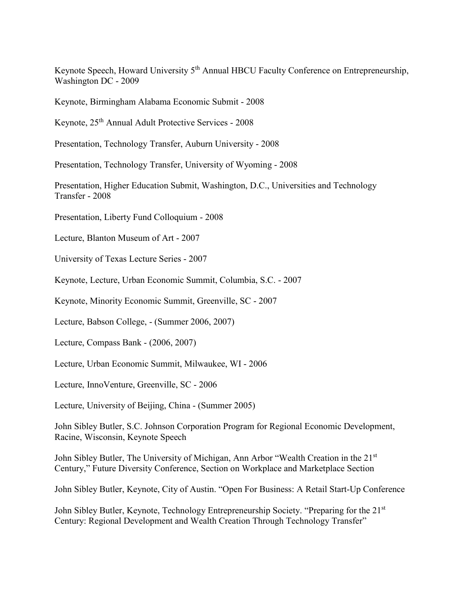Keynote Speech, Howard University 5<sup>th</sup> Annual HBCU Faculty Conference on Entrepreneurship, Washington DC - 2009

Keynote, Birmingham Alabama Economic Submit - 2008

Keynote, 25th Annual Adult Protective Services - 2008

Presentation, Technology Transfer, Auburn University - 2008

Presentation, Technology Transfer, University of Wyoming - 2008

Presentation, Higher Education Submit, Washington, D.C., Universities and Technology Transfer - 2008

Presentation, Liberty Fund Colloquium - 2008

Lecture, Blanton Museum of Art - 2007

University of Texas Lecture Series - 2007

Keynote, Lecture, Urban Economic Summit, Columbia, S.C. - 2007

Keynote, Minority Economic Summit, Greenville, SC - 2007

Lecture, Babson College, - (Summer 2006, 2007)

Lecture, Compass Bank - (2006, 2007)

Lecture, Urban Economic Summit, Milwaukee, WI - 2006

Lecture, InnoVenture, Greenville, SC - 2006

Lecture, University of Beijing, China - (Summer 2005)

John Sibley Butler, S.C. Johnson Corporation Program for Regional Economic Development, Racine, Wisconsin, Keynote Speech

John Sibley Butler, The University of Michigan, Ann Arbor "Wealth Creation in the 21<sup>st</sup> Century." Future Diversity Conference, Section on Workplace and Marketplace Section

John Sibley Butler, Keynote, City of Austin. "Open For Business: A Retail Start-Up Conference

John Sibley Butler, Keynote, Technology Entrepreneurship Society. "Preparing for the 21st Century: Regional Development and Wealth Creation Through Technology Transfer"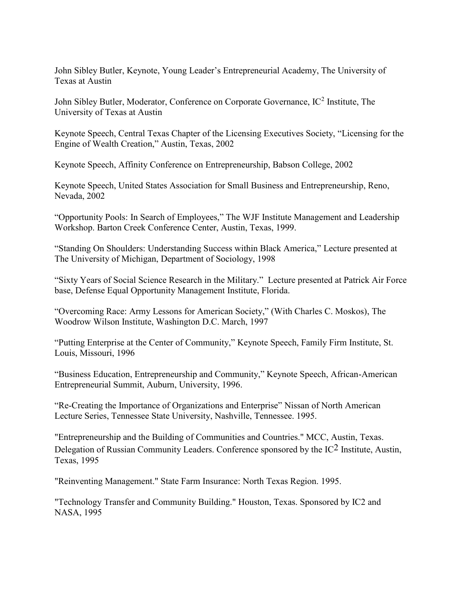John Sibley Butler, Keynote, Young Leader's Entrepreneurial Academy, The University of Texas at Austin

John Sibley Butler, Moderator, Conference on Corporate Governance, IC<sup>2</sup> Institute, The University of Texas at Austin

Keynote Speech, Central Texas Chapter of the Licensing Executives Society, "Licensing for the Engine of Wealth Creation," Austin, Texas, 2002

Keynote Speech, Affinity Conference on Entrepreneurship, Babson College, 2002

Keynote Speech, United States Association for Small Business and Entrepreneurship, Reno, Nevada, 2002

"Opportunity Pools: In Search of Employees," The WJF Institute Management and Leadership Workshop. Barton Creek Conference Center, Austin, Texas, 1999.

"Standing On Shoulders: Understanding Success within Black America," Lecture presented at The University of Michigan, Department of Sociology, 1998

"Sixty Years of Social Science Research in the Military." Lecture presented at Patrick Air Force base, Defense Equal Opportunity Management Institute, Florida.

"Overcoming Race: Army Lessons for American Society," (With Charles C. Moskos), The Woodrow Wilson Institute, Washington D.C. March, 1997

"Putting Enterprise at the Center of Community," Keynote Speech, Family Firm Institute, St. Louis, Missouri, 1996

"Business Education, Entrepreneurship and Community," Keynote Speech, African-American Entrepreneurial Summit, Auburn, University, 1996.

"Re-Creating the Importance of Organizations and Enterprise" Nissan of North American Lecture Series, Tennessee State University, Nashville, Tennessee. 1995.

"Entrepreneurship and the Building of Communities and Countries." MCC, Austin, Texas. Delegation of Russian Community Leaders. Conference sponsored by the IC2 Institute, Austin, Texas, 1995

"Reinventing Management." State Farm Insurance: North Texas Region. 1995.

"Technology Transfer and Community Building." Houston, Texas. Sponsored by IC2 and NASA, 1995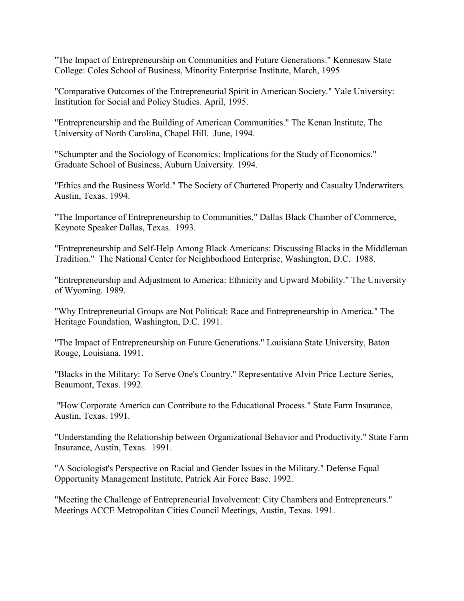"The Impact of Entrepreneurship on Communities and Future Generations." Kennesaw State College: Coles School of Business, Minority Enterprise Institute, March, 1995

"Comparative Outcomes of the Entrepreneurial Spirit in American Society." Yale University: Institution for Social and Policy Studies. April, 1995.

"Entrepreneurship and the Building of American Communities." The Kenan Institute, The University of North Carolina, Chapel Hill. June, 1994.

"Schumpter and the Sociology of Economics: Implications for the Study of Economics." Graduate School of Business, Auburn University. 1994.

"Ethics and the Business World." The Society of Chartered Property and Casualty Underwriters. Austin, Texas. 1994.

"The Importance of Entrepreneurship to Communities," Dallas Black Chamber of Commerce, Keynote Speaker Dallas, Texas. 1993.

"Entrepreneurship and Self-Help Among Black Americans: Discussing Blacks in the Middleman Tradition." The National Center for Neighborhood Enterprise, Washington, D.C. 1988.

"Entrepreneurship and Adjustment to America: Ethnicity and Upward Mobility." The University of Wyoming. 1989.

"Why Entrepreneurial Groups are Not Political: Race and Entrepreneurship in America." The Heritage Foundation, Washington, D.C. 1991.

"The Impact of Entrepreneurship on Future Generations." Louisiana State University, Baton Rouge, Louisiana. 1991.

"Blacks in the Military: To Serve One's Country." Representative Alvin Price Lecture Series, Beaumont, Texas. 1992.

"How Corporate America can Contribute to the Educational Process." State Farm Insurance, Austin, Texas. 1991.

"Understanding the Relationship between Organizational Behavior and Productivity." State Farm Insurance, Austin, Texas. 1991.

"A Sociologist's Perspective on Racial and Gender Issues in the Military." Defense Equal Opportunity Management Institute, Patrick Air Force Base. 1992.

"Meeting the Challenge of Entrepreneurial Involvement: City Chambers and Entrepreneurs." Meetings ACCE Metropolitan Cities Council Meetings, Austin, Texas. 1991.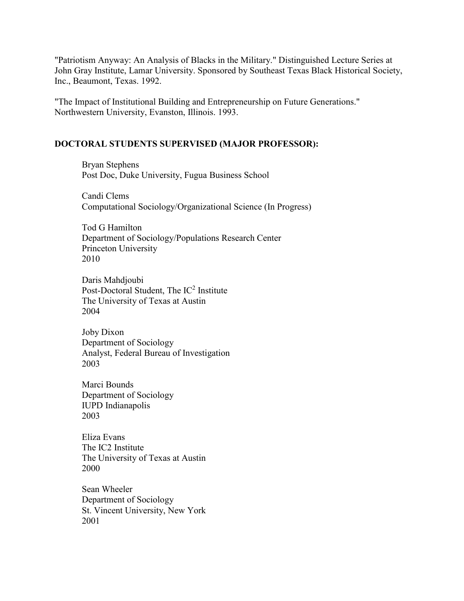"Patriotism Anyway: An Analysis of Blacks in the Military." Distinguished Lecture Series at John Gray Institute, Lamar University. Sponsored by Southeast Texas Black Historical Society, Inc., Beaumont, Texas. 1992.

"The Impact of Institutional Building and Entrepreneurship on Future Generations." Northwestern University, Evanston, Illinois. 1993.

#### **DOCTORAL STUDENTS SUPERVISED (MAJOR PROFESSOR):**

Bryan Stephens Post Doc, Duke University, Fugua Business School

Candi Clems Computational Sociology/Organizational Science (In Progress)

Tod G Hamilton Department of Sociology/Populations Research Center Princeton University 2010

Daris Mahdjoubi Post-Doctoral Student, The IC<sup>2</sup> Institute The University of Texas at Austin 2004

Joby Dixon Department of Sociology Analyst, Federal Bureau of Investigation 2003

Marci Bounds Department of Sociology IUPD Indianapolis 2003

Eliza Evans The IC2 Institute The University of Texas at Austin 2000

Sean Wheeler Department of Sociology St. Vincent University, New York 2001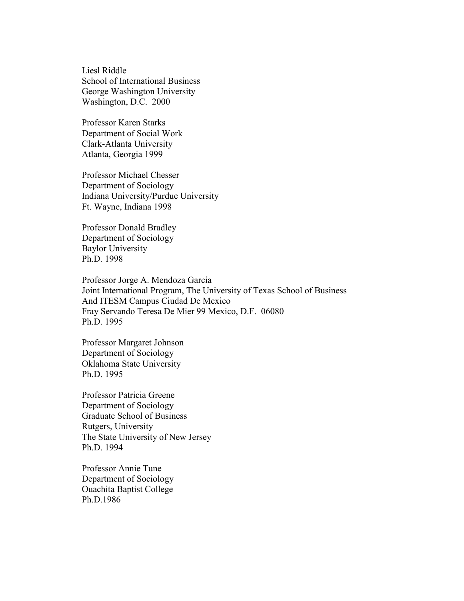Liesl Riddle School of International Business George Washington University Washington, D.C. 2000

Professor Karen Starks Department of Social Work Clark-Atlanta University Atlanta, Georgia 1999

Professor Michael Chesser Department of Sociology Indiana University/Purdue University Ft. Wayne, Indiana 1998

Professor Donald Bradley Department of Sociology Baylor University Ph.D. 1998

Professor Jorge A. Mendoza Garcia Joint International Program, The University of Texas School of Business And ITESM Campus Ciudad De Mexico Fray Servando Teresa De Mier 99 Mexico, D.F. 06080 Ph.D. 1995

Professor Margaret Johnson Department of Sociology Oklahoma State University Ph.D. 1995

Professor Patricia Greene Department of Sociology Graduate School of Business Rutgers, University The State University of New Jersey Ph.D. 1994

Professor Annie Tune Department of Sociology Ouachita Baptist College Ph.D.1986